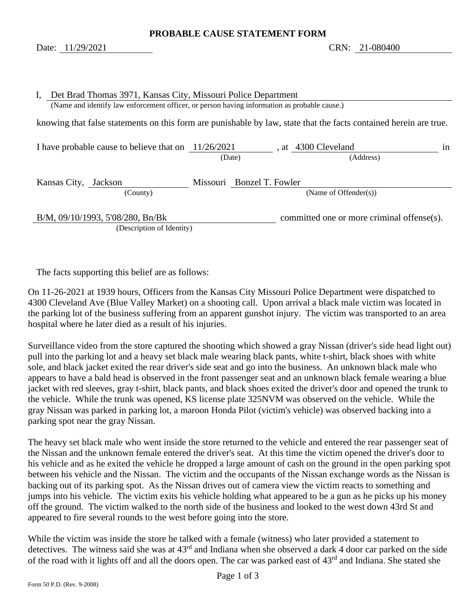<span id="page-0-1"></span><span id="page-0-0"></span>

| Ι,<br>Det Brad Thomas 3971, Kansas City, Missouri Police Department<br>(Name and identify law enforcement officer, or person having information as probable cause.) |                           |                                            |  |  |
|---------------------------------------------------------------------------------------------------------------------------------------------------------------------|---------------------------|--------------------------------------------|--|--|
| knowing that false statements on this form are punishable by law, state that the facts contained herein are true.                                                   |                           |                                            |  |  |
| I have probable cause to believe that on $11/26/2021$                                                                                                               | (Date)                    | , at 4300 Cleveland<br>1n<br>(Address)     |  |  |
| Kansas City, Jackson<br>(County)                                                                                                                                    | Missouri Bonzel T. Fowler | (Name of Offender $(s)$ )                  |  |  |
| B/M, 09/10/1993, 5'08/280, Bn/Bk<br>(Description of Identity)                                                                                                       |                           | committed one or more criminal offense(s). |  |  |

The facts supporting this belief are as follows:

On 11-26-2021 at 1939 hours, Officers from the Kansas City Missouri Police Department were dispatched to 4300 Cleveland Ave (Blue Valley Market) on a shooting call. Upon arrival a black male victim was located in the parking lot of the business suffering from an apparent gunshot injury. The victim was transported to an area hospital where he later died as a result of his injuries.

Surveillance video from the store captured the shooting which showed a gray Nissan (driver's side head light out) pull into the parking lot and a heavy set black male wearing black pants, white t-shirt, black shoes with white sole, and black jacket exited the rear driver's side seat and go into the business. An unknown black male who appears to have a bald head is observed in the front passenger seat and an unknown black female wearing a blue jacket with red sleeves, gray t-shirt, black pants, and black shoes exited the driver's door and opened the trunk to the vehicle. While the trunk was opened, KS license plate 325NVM was observed on the vehicle. While the gray Nissan was parked in parking lot, a maroon Honda Pilot (victim's vehicle) was observed backing into a parking spot near the gray Nissan.

The heavy set black male who went inside the store returned to the vehicle and entered the rear passenger seat of the Nissan and the unknown female entered the driver's seat. At this time the victim opened the driver's door to his vehicle and as he exited the vehicle he dropped a large amount of cash on the ground in the open parking spot between his vehicle and the Nissan. The victim and the occupants of the Nissan exchange words as the Nissan is backing out of its parking spot. As the Nissan drives out of camera view the victim reacts to something and jumps into his vehicle. The victim exits his vehicle holding what appeared to be a gun as he picks up his money off the ground. The victim walked to the north side of the business and looked to the west down 43rd St and appeared to fire several rounds to the west before going into the store.

While the victim was inside the store he talked with a female (witness) who later provided a statement to detectives. The witness said she was at 43<sup>rd</sup> and Indiana when she observed a dark 4 door car parked on the side of the road with it lights off and all the doors open. The car was parked east of 43<sup>rd</sup> and Indiana. She stated she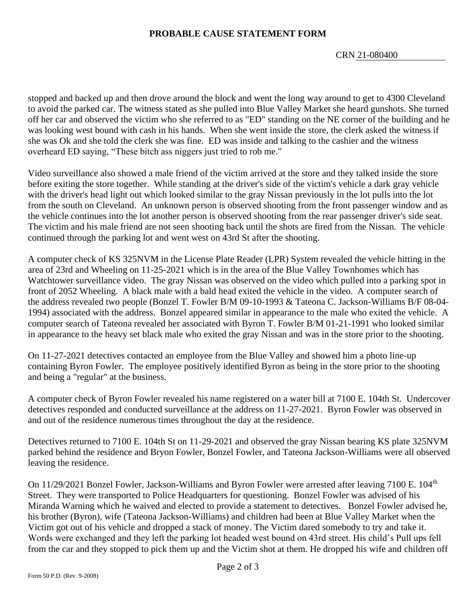CRN [21-080400](#page-0-0)

stopped and backed up and then drove around the block and went the long way around to get to 4300 Cleveland to avoid the parked car. The witness stated as she pulled into Blue Valley Market she heard gunshots. She turned off her car and observed the victim who she referred to as "ED" standing on the NE corner of the building and he was looking west bound with cash in his hands. When she went inside the store, the clerk asked the witness if she was Ok and she told the clerk she was fine. ED was inside and talking to the cashier and the witness overheard ED saying, "These bitch ass niggers just tried to rob me."

Video surveillance also showed a male friend of the victim arrived at the store and they talked inside the store before exiting the store together. While standing at the driver's side of the victim's vehicle a dark gray vehicle with the driver's head light out which looked similar to the gray Nissan previously in the lot pulls into the lot from the south on Cleveland. An unknown person is observed shooting from the front passenger window and as the vehicle continues into the lot another person is observed shooting from the rear passenger driver's side seat. The victim and his male friend are not seen shooting back until the shots are fired from the Nissan. The vehicle continued through the parking lot and went west on 43rd St after the shooting.

A computer check of KS 325NVM in the License Plate Reader (LPR) System revealed the vehicle hitting in the area of 23rd and Wheeling on 11-25-2021 which is in the area of the Blue Valley Townhomes which has Watchtower surveillance video. The gray Nissan was observed on the video which pulled into a parking spot in front of 2052 Wheeling. A black male with a bald head exited the vehicle in the video. A computer search of the address revealed two people (Bonzel T. Fowler B/M 09-10-1993 & Tateona C. Jackson-Williams B/F 08-04- 1994) associated with the address. Bonzel appeared similar in appearance to the male who exited the vehicle. A computer search of Tateona revealed her associated with Byron T. Fowler B/M 01-21-1991 who looked similar in appearance to the heavy set black male who exited the gray Nissan and was in the store prior to the shooting.

On 11-27-2021 detectives contacted an employee from the Blue Valley and showed him a photo line-up containing Byron Fowler. The employee positively identified Byron as being in the store prior to the shooting and being a "regular" at the business.

A computer check of Byron Fowler revealed his name registered on a water bill at 7100 E. 104th St. Undercover detectives responded and conducted surveillance at the address on 11-27-2021. Byron Fowler was observed in and out of the residence numerous times throughout the day at the residence.

Detectives returned to 7100 E. 104th St on 11-29-2021 and observed the gray Nissan bearing KS plate 325NVM parked behind the residence and Bryon Fowler, Bonzel Fowler, and Tateona Jackson-Williams were all observed leaving the residence.

On 11/29/2021 Bonzel Fowler, Jackson-Williams and Byron Fowler were arrested after leaving 7100 E. 104<sup>th</sup> Street. They were transported to Police Headquarters for questioning. Bonzel Fowler was advised of his Miranda Warning which he waived and elected to provide a statement to detectives. Bonzel Fowler advised he, his brother (Byron), wife (Tateona Jackson-Williams) and children had been at Blue Valley Market when the Victim got out of his vehicle and dropped a stack of money. The Victim dared somebody to try and take it. Words were exchanged and they left the parking lot headed west bound on 43rd street. His child's Pull ups fell from the car and they stopped to pick them up and the Victim shot at them. He dropped his wife and children off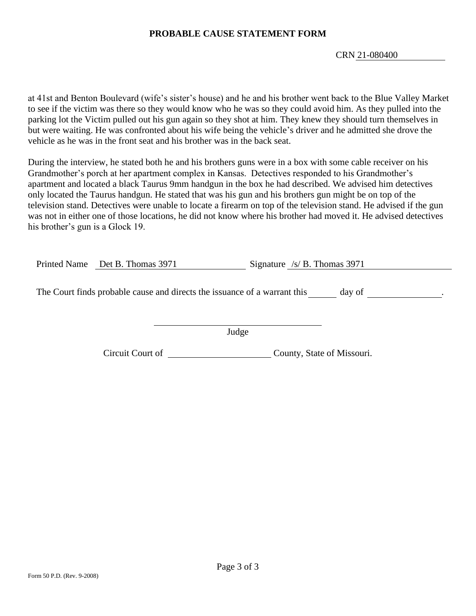CRN [21-080400](#page-0-0)

at 41st and Benton Boulevard (wife's sister's house) and he and his brother went back to the Blue Valley Market to see if the victim was there so they would know who he was so they could avoid him. As they pulled into the parking lot the Victim pulled out his gun again so they shot at him. They knew they should turn themselves in but were waiting. He was confronted about his wife being the vehicle's driver and he admitted she drove the vehicle as he was in the front seat and his brother was in the back seat.

During the interview, he stated both he and his brothers guns were in a box with some cable receiver on his Grandmother's porch at her apartment complex in Kansas. Detectives responded to his Grandmother's apartment and located a black Taurus 9mm handgun in the box he had described. We advised him detectives only located the Taurus handgun. He stated that was his gun and his brothers gun might be on top of the television stand. Detectives were unable to locate a firearm on top of the television stand. He advised if the gun was not in either one of those locations, he did not know where his brother had moved it. He advised detectives his brother's gun is a Glock 19.

| Printed Name Det B. Thomas 3971 | Signature /s/ B. Thomas 3971                                              |        |
|---------------------------------|---------------------------------------------------------------------------|--------|
|                                 | The Court finds probable cause and directs the issuance of a warrant this | day of |
|                                 | Judge                                                                     |        |

Circuit Court of County, State of Missouri.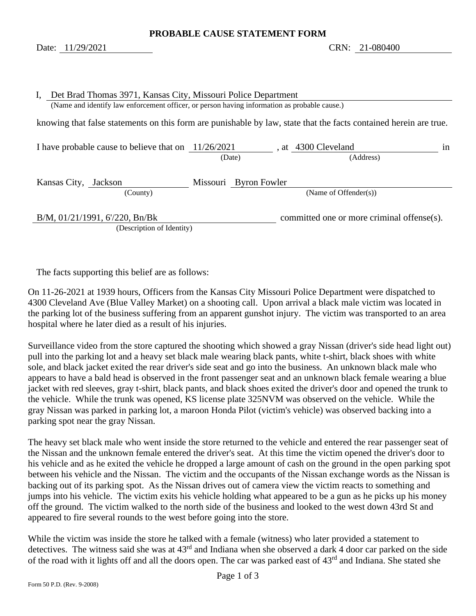<span id="page-3-1"></span><span id="page-3-0"></span>

| $I_{\star}$                                                                                                       | Det Brad Thomas 3971, Kansas City, Missouri Police Department                                |  |                       |  |                                            |    |
|-------------------------------------------------------------------------------------------------------------------|----------------------------------------------------------------------------------------------|--|-----------------------|--|--------------------------------------------|----|
|                                                                                                                   | (Name and identify law enforcement officer, or person having information as probable cause.) |  |                       |  |                                            |    |
| knowing that false statements on this form are punishable by law, state that the facts contained herein are true. |                                                                                              |  |                       |  |                                            |    |
|                                                                                                                   | I have probable cause to believe that on $11/26/2021$                                        |  | (Date)                |  | , at 4300 Cleveland<br>(Address)           | 1n |
|                                                                                                                   | Kansas City, Jackson                                                                         |  | Missouri Byron Fowler |  |                                            |    |
|                                                                                                                   | (County)                                                                                     |  |                       |  | (Name of Offender $(s)$ )                  |    |
|                                                                                                                   | B/M, 01/21/1991, 6/220, Bn/Bk                                                                |  |                       |  | committed one or more criminal offense(s). |    |
|                                                                                                                   | (Description of Identity)                                                                    |  |                       |  |                                            |    |

The facts supporting this belief are as follows:

On 11-26-2021 at 1939 hours, Officers from the Kansas City Missouri Police Department were dispatched to 4300 Cleveland Ave (Blue Valley Market) on a shooting call. Upon arrival a black male victim was located in the parking lot of the business suffering from an apparent gunshot injury. The victim was transported to an area hospital where he later died as a result of his injuries.

Surveillance video from the store captured the shooting which showed a gray Nissan (driver's side head light out) pull into the parking lot and a heavy set black male wearing black pants, white t-shirt, black shoes with white sole, and black jacket exited the rear driver's side seat and go into the business. An unknown black male who appears to have a bald head is observed in the front passenger seat and an unknown black female wearing a blue jacket with red sleeves, gray t-shirt, black pants, and black shoes exited the driver's door and opened the trunk to the vehicle. While the trunk was opened, KS license plate 325NVM was observed on the vehicle. While the gray Nissan was parked in parking lot, a maroon Honda Pilot (victim's vehicle) was observed backing into a parking spot near the gray Nissan.

The heavy set black male who went inside the store returned to the vehicle and entered the rear passenger seat of the Nissan and the unknown female entered the driver's seat. At this time the victim opened the driver's door to his vehicle and as he exited the vehicle he dropped a large amount of cash on the ground in the open parking spot between his vehicle and the Nissan. The victim and the occupants of the Nissan exchange words as the Nissan is backing out of its parking spot. As the Nissan drives out of camera view the victim reacts to something and jumps into his vehicle. The victim exits his vehicle holding what appeared to be a gun as he picks up his money off the ground. The victim walked to the north side of the business and looked to the west down 43rd St and appeared to fire several rounds to the west before going into the store.

While the victim was inside the store he talked with a female (witness) who later provided a statement to detectives. The witness said she was at 43<sup>rd</sup> and Indiana when she observed a dark 4 door car parked on the side of the road with it lights off and all the doors open. The car was parked east of 43<sup>rd</sup> and Indiana. She stated she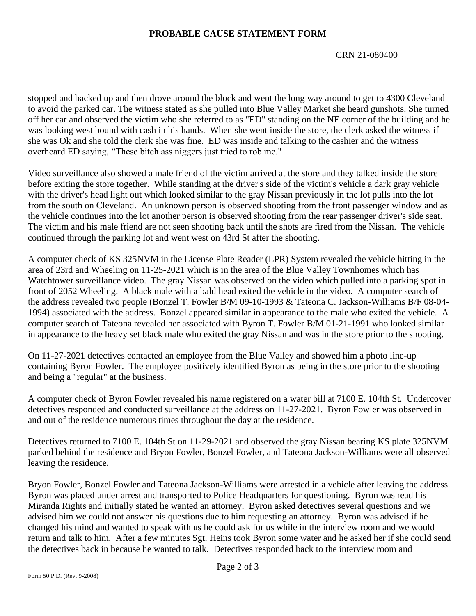CRN [21-080400](#page-3-0)

stopped and backed up and then drove around the block and went the long way around to get to 4300 Cleveland to avoid the parked car. The witness stated as she pulled into Blue Valley Market she heard gunshots. She turned off her car and observed the victim who she referred to as "ED" standing on the NE corner of the building and he was looking west bound with cash in his hands. When she went inside the store, the clerk asked the witness if she was Ok and she told the clerk she was fine. ED was inside and talking to the cashier and the witness overheard ED saying, "These bitch ass niggers just tried to rob me."

Video surveillance also showed a male friend of the victim arrived at the store and they talked inside the store before exiting the store together. While standing at the driver's side of the victim's vehicle a dark gray vehicle with the driver's head light out which looked similar to the gray Nissan previously in the lot pulls into the lot from the south on Cleveland. An unknown person is observed shooting from the front passenger window and as the vehicle continues into the lot another person is observed shooting from the rear passenger driver's side seat. The victim and his male friend are not seen shooting back until the shots are fired from the Nissan. The vehicle continued through the parking lot and went west on 43rd St after the shooting.

A computer check of KS 325NVM in the License Plate Reader (LPR) System revealed the vehicle hitting in the area of 23rd and Wheeling on 11-25-2021 which is in the area of the Blue Valley Townhomes which has Watchtower surveillance video. The gray Nissan was observed on the video which pulled into a parking spot in front of 2052 Wheeling. A black male with a bald head exited the vehicle in the video. A computer search of the address revealed two people (Bonzel T. Fowler B/M 09-10-1993 & Tateona C. Jackson-Williams B/F 08-04- 1994) associated with the address. Bonzel appeared similar in appearance to the male who exited the vehicle. A computer search of Tateona revealed her associated with Byron T. Fowler B/M 01-21-1991 who looked similar in appearance to the heavy set black male who exited the gray Nissan and was in the store prior to the shooting.

On 11-27-2021 detectives contacted an employee from the Blue Valley and showed him a photo line-up containing Byron Fowler. The employee positively identified Byron as being in the store prior to the shooting and being a "regular" at the business.

A computer check of Byron Fowler revealed his name registered on a water bill at 7100 E. 104th St. Undercover detectives responded and conducted surveillance at the address on 11-27-2021. Byron Fowler was observed in and out of the residence numerous times throughout the day at the residence.

Detectives returned to 7100 E. 104th St on 11-29-2021 and observed the gray Nissan bearing KS plate 325NVM parked behind the residence and Bryon Fowler, Bonzel Fowler, and Tateona Jackson-Williams were all observed leaving the residence.

Bryon Fowler, Bonzel Fowler and Tateona Jackson-Williams were arrested in a vehicle after leaving the address. Byron was placed under arrest and transported to Police Headquarters for questioning. Byron was read his Miranda Rights and initially stated he wanted an attorney. Byron asked detectives several questions and we advised him we could not answer his questions due to him requesting an attorney. Byron was advised if he changed his mind and wanted to speak with us he could ask for us while in the interview room and we would return and talk to him. After a few minutes Sgt. Heins took Byron some water and he asked her if she could send the detectives back in because he wanted to talk. Detectives responded back to the interview room and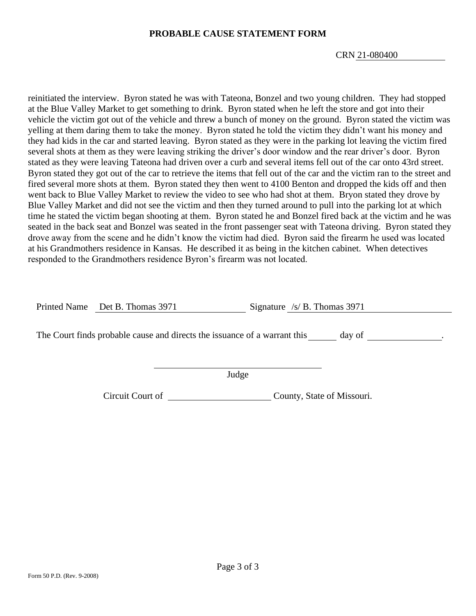CRN [21-080400](#page-3-0)

reinitiated the interview. Byron stated he was with Tateona, Bonzel and two young children. They had stopped at the Blue Valley Market to get something to drink. Byron stated when he left the store and got into their vehicle the victim got out of the vehicle and threw a bunch of money on the ground. Byron stated the victim was yelling at them daring them to take the money. Byron stated he told the victim they didn't want his money and they had kids in the car and started leaving. Byron stated as they were in the parking lot leaving the victim fired several shots at them as they were leaving striking the driver's door window and the rear driver's door. Byron stated as they were leaving Tateona had driven over a curb and several items fell out of the car onto 43rd street. Byron stated they got out of the car to retrieve the items that fell out of the car and the victim ran to the street and fired several more shots at them. Byron stated they then went to 4100 Benton and dropped the kids off and then went back to Blue Valley Market to review the video to see who had shot at them. Bryon stated they drove by Blue Valley Market and did not see the victim and then they turned around to pull into the parking lot at which time he stated the victim began shooting at them. Byron stated he and Bonzel fired back at the victim and he was seated in the back seat and Bonzel was seated in the front passenger seat with Tateona driving. Byron stated they drove away from the scene and he didn't know the victim had died. Byron said the firearm he used was located at his Grandmothers residence in Kansas. He described it as being in the kitchen cabinet. When detectives responded to the Grandmothers residence Byron's firearm was not located.

Printed Name Det B. Thomas 3971 Signature /s/ B. Thomas 3971

The Court finds probable cause and directs the issuance of a warrant this day of .

Judge

Circuit Court of County, State of Missouri.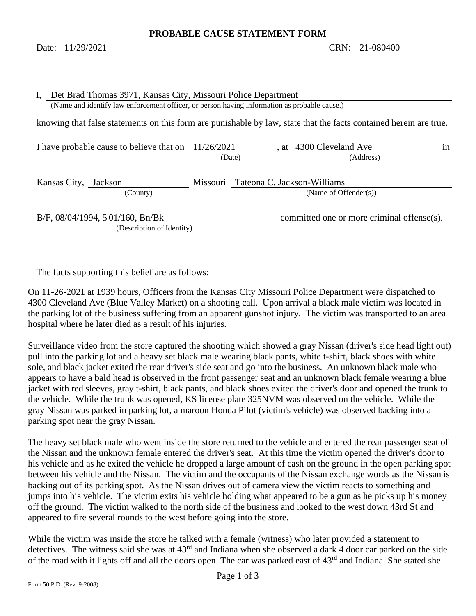<span id="page-6-1"></span><span id="page-6-0"></span>

| I, Det Brad Thomas 3971, Kansas City, Missouri Police Department<br>(Name and identify law enforcement officer, or person having information as probable cause.) |                                      |                                                                          |  |  |
|------------------------------------------------------------------------------------------------------------------------------------------------------------------|--------------------------------------|--------------------------------------------------------------------------|--|--|
| knowing that false statements on this form are punishable by law, state that the facts contained herein are true.                                                |                                      |                                                                          |  |  |
| I have probable cause to believe that on $11/26/2021$                                                                                                            | (Date)                               | $\overline{a}$ , at $\overline{a}$ 4300 Cleveland Ave<br>1n<br>(Address) |  |  |
| Kansas City, Jackson<br>(County)                                                                                                                                 | Missouri Tateona C. Jackson-Williams | (Name of Offender $(s)$ )                                                |  |  |
| B/F, 08/04/1994, 5'01/160, Bn/Bk<br>(Description of Identity)                                                                                                    |                                      | committed one or more criminal offense(s).                               |  |  |

The facts supporting this belief are as follows:

On 11-26-2021 at 1939 hours, Officers from the Kansas City Missouri Police Department were dispatched to 4300 Cleveland Ave (Blue Valley Market) on a shooting call. Upon arrival a black male victim was located in the parking lot of the business suffering from an apparent gunshot injury. The victim was transported to an area hospital where he later died as a result of his injuries.

Surveillance video from the store captured the shooting which showed a gray Nissan (driver's side head light out) pull into the parking lot and a heavy set black male wearing black pants, white t-shirt, black shoes with white sole, and black jacket exited the rear driver's side seat and go into the business. An unknown black male who appears to have a bald head is observed in the front passenger seat and an unknown black female wearing a blue jacket with red sleeves, gray t-shirt, black pants, and black shoes exited the driver's door and opened the trunk to the vehicle. While the trunk was opened, KS license plate 325NVM was observed on the vehicle. While the gray Nissan was parked in parking lot, a maroon Honda Pilot (victim's vehicle) was observed backing into a parking spot near the gray Nissan.

The heavy set black male who went inside the store returned to the vehicle and entered the rear passenger seat of the Nissan and the unknown female entered the driver's seat. At this time the victim opened the driver's door to his vehicle and as he exited the vehicle he dropped a large amount of cash on the ground in the open parking spot between his vehicle and the Nissan. The victim and the occupants of the Nissan exchange words as the Nissan is backing out of its parking spot. As the Nissan drives out of camera view the victim reacts to something and jumps into his vehicle. The victim exits his vehicle holding what appeared to be a gun as he picks up his money off the ground. The victim walked to the north side of the business and looked to the west down 43rd St and appeared to fire several rounds to the west before going into the store.

While the victim was inside the store he talked with a female (witness) who later provided a statement to detectives. The witness said she was at 43<sup>rd</sup> and Indiana when she observed a dark 4 door car parked on the side of the road with it lights off and all the doors open. The car was parked east of 43<sup>rd</sup> and Indiana. She stated she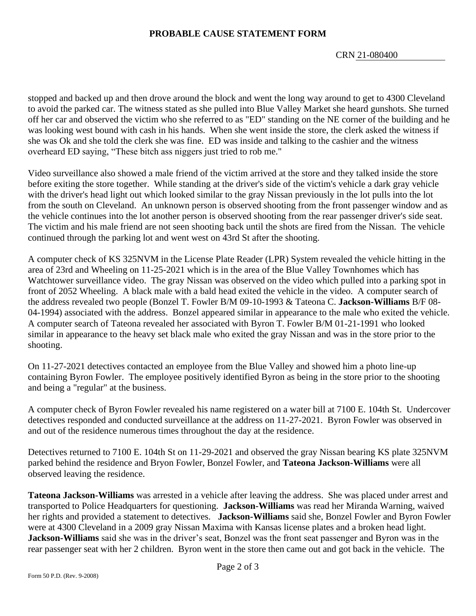CRN [21-080400](#page-6-0)

stopped and backed up and then drove around the block and went the long way around to get to 4300 Cleveland to avoid the parked car. The witness stated as she pulled into Blue Valley Market she heard gunshots. She turned off her car and observed the victim who she referred to as "ED" standing on the NE corner of the building and he was looking west bound with cash in his hands. When she went inside the store, the clerk asked the witness if she was Ok and she told the clerk she was fine. ED was inside and talking to the cashier and the witness overheard ED saying, "These bitch ass niggers just tried to rob me."

Video surveillance also showed a male friend of the victim arrived at the store and they talked inside the store before exiting the store together. While standing at the driver's side of the victim's vehicle a dark gray vehicle with the driver's head light out which looked similar to the gray Nissan previously in the lot pulls into the lot from the south on Cleveland. An unknown person is observed shooting from the front passenger window and as the vehicle continues into the lot another person is observed shooting from the rear passenger driver's side seat. The victim and his male friend are not seen shooting back until the shots are fired from the Nissan. The vehicle continued through the parking lot and went west on 43rd St after the shooting.

A computer check of KS 325NVM in the License Plate Reader (LPR) System revealed the vehicle hitting in the area of 23rd and Wheeling on 11-25-2021 which is in the area of the Blue Valley Townhomes which has Watchtower surveillance video. The gray Nissan was observed on the video which pulled into a parking spot in front of 2052 Wheeling. A black male with a bald head exited the vehicle in the video. A computer search of the address revealed two people (Bonzel T. Fowler B/M 09-10-1993 & Tateona C. **Jackson-Williams** B/F 08- 04-1994) associated with the address. Bonzel appeared similar in appearance to the male who exited the vehicle. A computer search of Tateona revealed her associated with Byron T. Fowler B/M 01-21-1991 who looked similar in appearance to the heavy set black male who exited the gray Nissan and was in the store prior to the shooting.

On 11-27-2021 detectives contacted an employee from the Blue Valley and showed him a photo line-up containing Byron Fowler. The employee positively identified Byron as being in the store prior to the shooting and being a "regular" at the business.

A computer check of Byron Fowler revealed his name registered on a water bill at 7100 E. 104th St. Undercover detectives responded and conducted surveillance at the address on 11-27-2021. Byron Fowler was observed in and out of the residence numerous times throughout the day at the residence.

Detectives returned to 7100 E. 104th St on 11-29-2021 and observed the gray Nissan bearing KS plate 325NVM parked behind the residence and Bryon Fowler, Bonzel Fowler, and **Tateona Jackson-Williams** were all observed leaving the residence.

**Tateona Jackson-Williams** was arrested in a vehicle after leaving the address. She was placed under arrest and transported to Police Headquarters for questioning. **Jackson-Williams** was read her Miranda Warning, waived her rights and provided a statement to detectives. **Jackson-Williams** said she, Bonzel Fowler and Byron Fowler were at 4300 Cleveland in a 2009 gray Nissan Maxima with Kansas license plates and a broken head light. **Jackson-Williams** said she was in the driver's seat, Bonzel was the front seat passenger and Byron was in the rear passenger seat with her 2 children. Byron went in the store then came out and got back in the vehicle. The